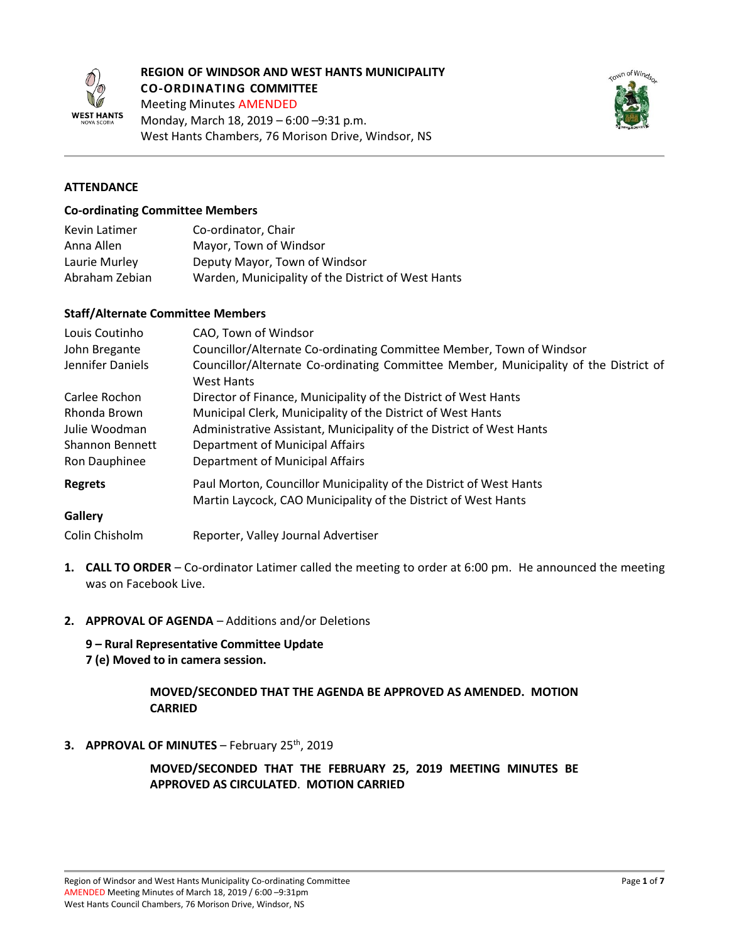

## **REGION OF WINDSOR AND WEST HANTS MUNICIPALITY CO-ORDINATING COMMITTEE**

Meeting Minutes AMENDED



# Monday, March 18, 2019 – 6:00 –9:31 p.m. West Hants Chambers, 76 Morison Drive, Windsor, NS

# **ATTENDANCE**

#### **Co-ordinating Committee Members**

| Kevin Latimer  | Co-ordinator, Chair                                |
|----------------|----------------------------------------------------|
| Anna Allen     | Mayor, Town of Windsor                             |
| Laurie Murley  | Deputy Mayor, Town of Windsor                      |
| Abraham Zebian | Warden, Municipality of the District of West Hants |

#### **Staff/Alternate Committee Members**

| Louis Coutinho         | CAO, Town of Windsor                                                                                      |
|------------------------|-----------------------------------------------------------------------------------------------------------|
| John Bregante          | Councillor/Alternate Co-ordinating Committee Member, Town of Windsor                                      |
| Jennifer Daniels       | Councillor/Alternate Co-ordinating Committee Member, Municipality of the District of<br><b>West Hants</b> |
| Carlee Rochon          | Director of Finance, Municipality of the District of West Hants                                           |
| Rhonda Brown           | Municipal Clerk, Municipality of the District of West Hants                                               |
| Julie Woodman          | Administrative Assistant, Municipality of the District of West Hants                                      |
| <b>Shannon Bennett</b> | Department of Municipal Affairs                                                                           |
| Ron Dauphinee          | Department of Municipal Affairs                                                                           |
| <b>Regrets</b>         | Paul Morton, Councillor Municipality of the District of West Hants                                        |
|                        | Martin Laycock, CAO Municipality of the District of West Hants                                            |
| <b>Gallery</b>         |                                                                                                           |
| Colin Chisholm         | Reporter, Valley Journal Advertiser                                                                       |

- **1. CALL TO ORDER** Co-ordinator Latimer called the meeting to order at 6:00 pm. He announced the meeting was on Facebook Live.
- **2. APPROVAL OF AGENDA** Additions and/or Deletions

**9 – Rural Representative Committee Update 7 (e) Moved to in camera session.** 

### **MOVED/SECONDED THAT THE AGENDA BE APPROVED AS AMENDED. MOTION CARRIED**

**3. APPROVAL OF MINUTES** – February 25th, 2019

**MOVED/SECONDED THAT THE FEBRUARY 25, 2019 MEETING MINUTES BE APPROVED AS CIRCULATED**. **MOTION CARRIED**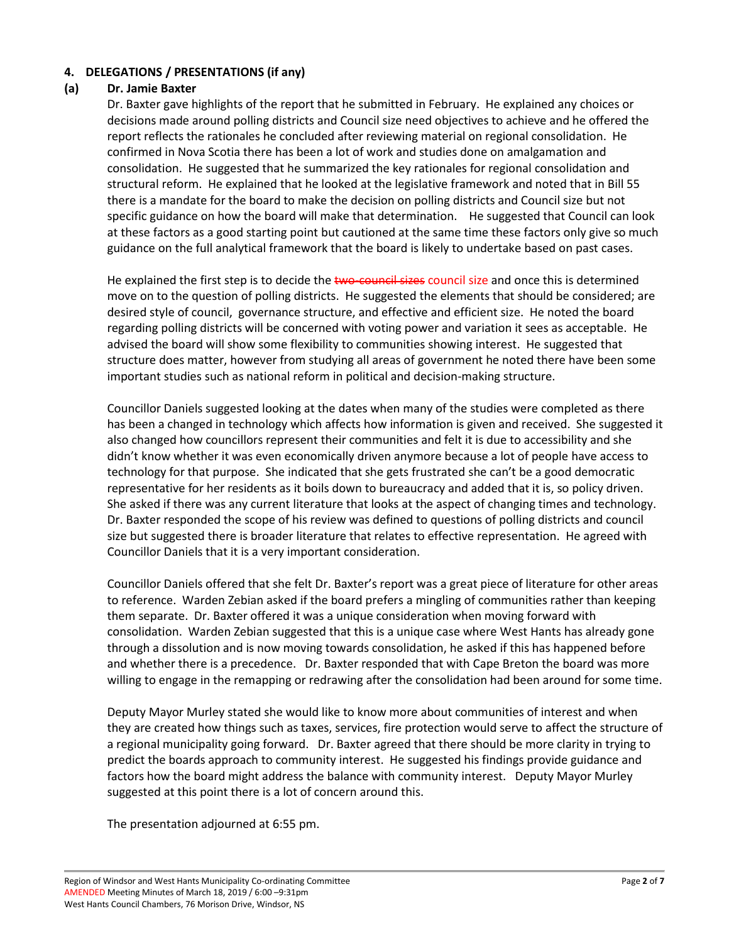# **4. DELEGATIONS / PRESENTATIONS (if any)**

### **(a) Dr. Jamie Baxter**

Dr. Baxter gave highlights of the report that he submitted in February. He explained any choices or decisions made around polling districts and Council size need objectives to achieve and he offered the report reflects the rationales he concluded after reviewing material on regional consolidation. He confirmed in Nova Scotia there has been a lot of work and studies done on amalgamation and consolidation. He suggested that he summarized the key rationales for regional consolidation and structural reform. He explained that he looked at the legislative framework and noted that in Bill 55 there is a mandate for the board to make the decision on polling districts and Council size but not specific guidance on how the board will make that determination. He suggested that Council can look at these factors as a good starting point but cautioned at the same time these factors only give so much guidance on the full analytical framework that the board is likely to undertake based on past cases.

He explained the first step is to decide the two-council sizes council size and once this is determined move on to the question of polling districts. He suggested the elements that should be considered; are desired style of council, governance structure, and effective and efficient size. He noted the board regarding polling districts will be concerned with voting power and variation it sees as acceptable. He advised the board will show some flexibility to communities showing interest. He suggested that structure does matter, however from studying all areas of government he noted there have been some important studies such as national reform in political and decision-making structure.

Councillor Daniels suggested looking at the dates when many of the studies were completed as there has been a changed in technology which affects how information is given and received. She suggested it also changed how councillors represent their communities and felt it is due to accessibility and she didn't know whether it was even economically driven anymore because a lot of people have access to technology for that purpose. She indicated that she gets frustrated she can't be a good democratic representative for her residents as it boils down to bureaucracy and added that it is, so policy driven. She asked if there was any current literature that looks at the aspect of changing times and technology. Dr. Baxter responded the scope of his review was defined to questions of polling districts and council size but suggested there is broader literature that relates to effective representation. He agreed with Councillor Daniels that it is a very important consideration.

Councillor Daniels offered that she felt Dr. Baxter's report was a great piece of literature for other areas to reference. Warden Zebian asked if the board prefers a mingling of communities rather than keeping them separate. Dr. Baxter offered it was a unique consideration when moving forward with consolidation. Warden Zebian suggested that this is a unique case where West Hants has already gone through a dissolution and is now moving towards consolidation, he asked if this has happened before and whether there is a precedence. Dr. Baxter responded that with Cape Breton the board was more willing to engage in the remapping or redrawing after the consolidation had been around for some time.

Deputy Mayor Murley stated she would like to know more about communities of interest and when they are created how things such as taxes, services, fire protection would serve to affect the structure of a regional municipality going forward. Dr. Baxter agreed that there should be more clarity in trying to predict the boards approach to community interest. He suggested his findings provide guidance and factors how the board might address the balance with community interest. Deputy Mayor Murley suggested at this point there is a lot of concern around this.

The presentation adjourned at 6:55 pm.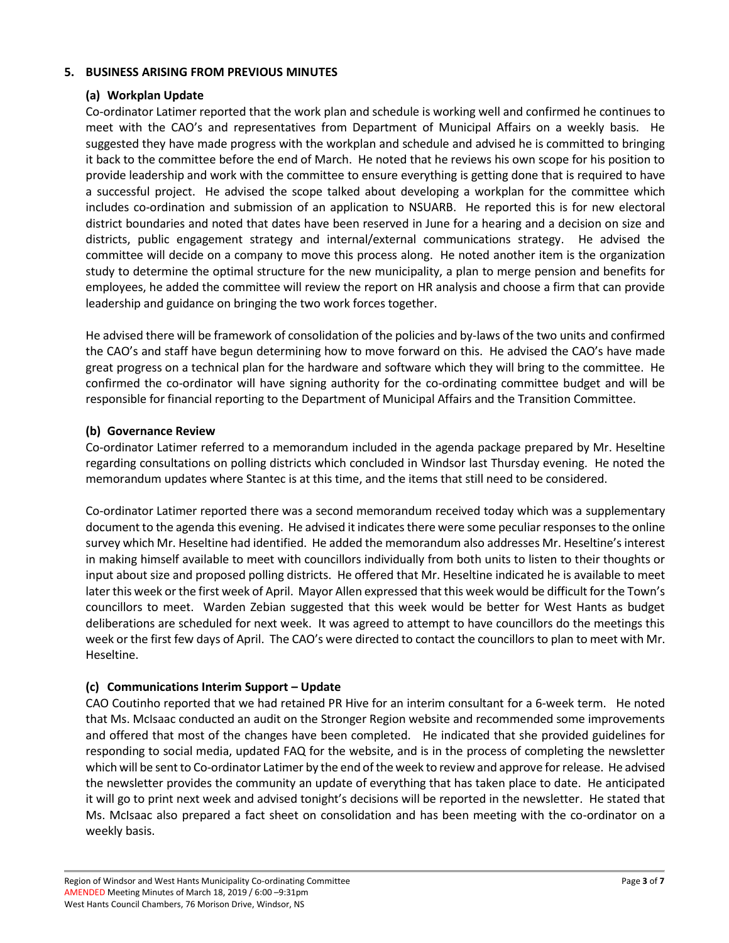## **5. BUSINESS ARISING FROM PREVIOUS MINUTES**

## **(a) Workplan Update**

Co-ordinator Latimer reported that the work plan and schedule is working well and confirmed he continues to meet with the CAO's and representatives from Department of Municipal Affairs on a weekly basis. He suggested they have made progress with the workplan and schedule and advised he is committed to bringing it back to the committee before the end of March. He noted that he reviews his own scope for his position to provide leadership and work with the committee to ensure everything is getting done that is required to have a successful project. He advised the scope talked about developing a workplan for the committee which includes co-ordination and submission of an application to NSUARB. He reported this is for new electoral district boundaries and noted that dates have been reserved in June for a hearing and a decision on size and districts, public engagement strategy and internal/external communications strategy. He advised the committee will decide on a company to move this process along. He noted another item is the organization study to determine the optimal structure for the new municipality, a plan to merge pension and benefits for employees, he added the committee will review the report on HR analysis and choose a firm that can provide leadership and guidance on bringing the two work forces together.

He advised there will be framework of consolidation of the policies and by-laws of the two units and confirmed the CAO's and staff have begun determining how to move forward on this. He advised the CAO's have made great progress on a technical plan for the hardware and software which they will bring to the committee. He confirmed the co-ordinator will have signing authority for the co-ordinating committee budget and will be responsible for financial reporting to the Department of Municipal Affairs and the Transition Committee.

## **(b) Governance Review**

Co-ordinator Latimer referred to a memorandum included in the agenda package prepared by Mr. Heseltine regarding consultations on polling districts which concluded in Windsor last Thursday evening. He noted the memorandum updates where Stantec is at this time, and the items that still need to be considered.

Co-ordinator Latimer reported there was a second memorandum received today which was a supplementary document to the agenda this evening. He advised it indicates there were some peculiar responses to the online survey which Mr. Heseltine had identified. He added the memorandum also addresses Mr. Heseltine's interest in making himself available to meet with councillors individually from both units to listen to their thoughts or input about size and proposed polling districts. He offered that Mr. Heseltine indicated he is available to meet later this week or the first week of April. Mayor Allen expressed that this week would be difficult for the Town's councillors to meet. Warden Zebian suggested that this week would be better for West Hants as budget deliberations are scheduled for next week. It was agreed to attempt to have councillors do the meetings this week or the first few days of April. The CAO's were directed to contact the councillors to plan to meet with Mr. Heseltine.

# **(c) Communications Interim Support – Update**

CAO Coutinho reported that we had retained PR Hive for an interim consultant for a 6-week term. He noted that Ms. McIsaac conducted an audit on the Stronger Region website and recommended some improvements and offered that most of the changes have been completed. He indicated that she provided guidelines for responding to social media, updated FAQ for the website, and is in the process of completing the newsletter which will be sent to Co-ordinator Latimer by the end of the week to review and approve for release. He advised the newsletter provides the community an update of everything that has taken place to date. He anticipated it will go to print next week and advised tonight's decisions will be reported in the newsletter. He stated that Ms. McIsaac also prepared a fact sheet on consolidation and has been meeting with the co-ordinator on a weekly basis.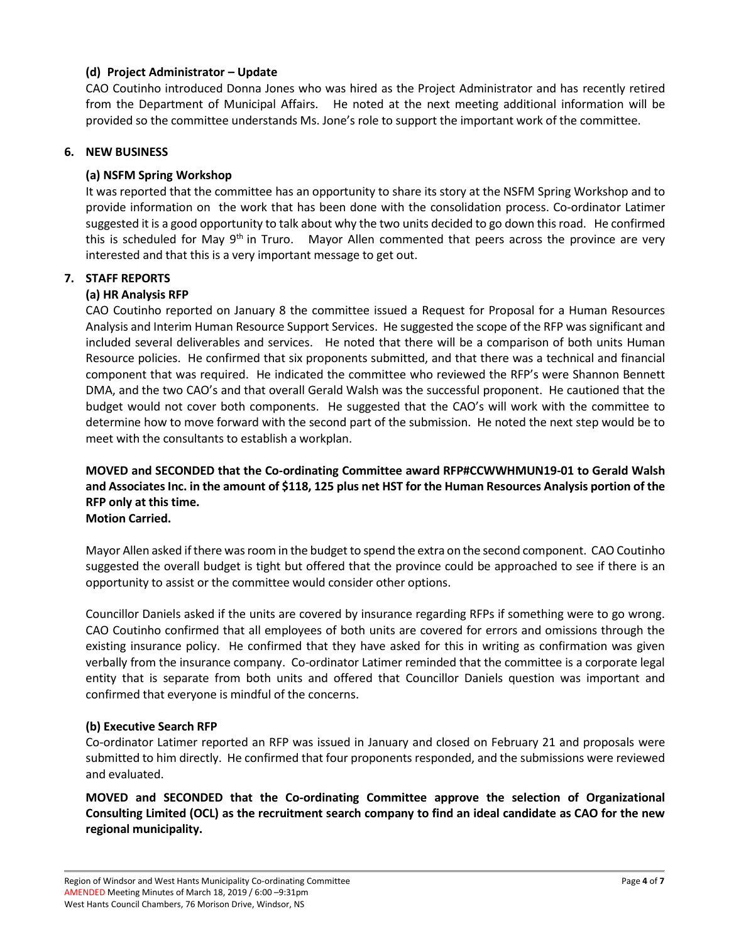## **(d) Project Administrator – Update**

CAO Coutinho introduced Donna Jones who was hired as the Project Administrator and has recently retired from the Department of Municipal Affairs. He noted at the next meeting additional information will be provided so the committee understands Ms. Jone's role to support the important work of the committee.

### **6. NEW BUSINESS**

## **(a) NSFM Spring Workshop**

It was reported that the committee has an opportunity to share its story at the NSFM Spring Workshop and to provide information on the work that has been done with the consolidation process. Co-ordinator Latimer suggested it is a good opportunity to talk about why the two units decided to go down this road. He confirmed this is scheduled for May 9<sup>th</sup> in Truro. Mayor Allen commented that peers across the province are very interested and that this is a very important message to get out.

## **7. STAFF REPORTS**

## **(a) HR Analysis RFP**

CAO Coutinho reported on January 8 the committee issued a Request for Proposal for a Human Resources Analysis and Interim Human Resource Support Services. He suggested the scope of the RFP was significant and included several deliverables and services. He noted that there will be a comparison of both units Human Resource policies. He confirmed that six proponents submitted, and that there was a technical and financial component that was required. He indicated the committee who reviewed the RFP's were Shannon Bennett DMA, and the two CAO's and that overall Gerald Walsh was the successful proponent. He cautioned that the budget would not cover both components. He suggested that the CAO's will work with the committee to determine how to move forward with the second part of the submission. He noted the next step would be to meet with the consultants to establish a workplan.

# **MOVED and SECONDED that the Co-ordinating Committee award RFP#CCWWHMUN19-01 to Gerald Walsh and Associates Inc. in the amount of \$118, 125 plus net HST for the Human Resources Analysis portion of the RFP only at this time.**

## **Motion Carried.**

Mayor Allen asked if there was room in the budget to spend the extra on the second component. CAO Coutinho suggested the overall budget is tight but offered that the province could be approached to see if there is an opportunity to assist or the committee would consider other options.

Councillor Daniels asked if the units are covered by insurance regarding RFPs if something were to go wrong. CAO Coutinho confirmed that all employees of both units are covered for errors and omissions through the existing insurance policy. He confirmed that they have asked for this in writing as confirmation was given verbally from the insurance company. Co-ordinator Latimer reminded that the committee is a corporate legal entity that is separate from both units and offered that Councillor Daniels question was important and confirmed that everyone is mindful of the concerns.

### **(b) Executive Search RFP**

Co-ordinator Latimer reported an RFP was issued in January and closed on February 21 and proposals were submitted to him directly. He confirmed that four proponents responded, and the submissions were reviewed and evaluated.

**MOVED and SECONDED that the Co-ordinating Committee approve the selection of Organizational Consulting Limited (OCL) as the recruitment search company to find an ideal candidate as CAO for the new regional municipality.**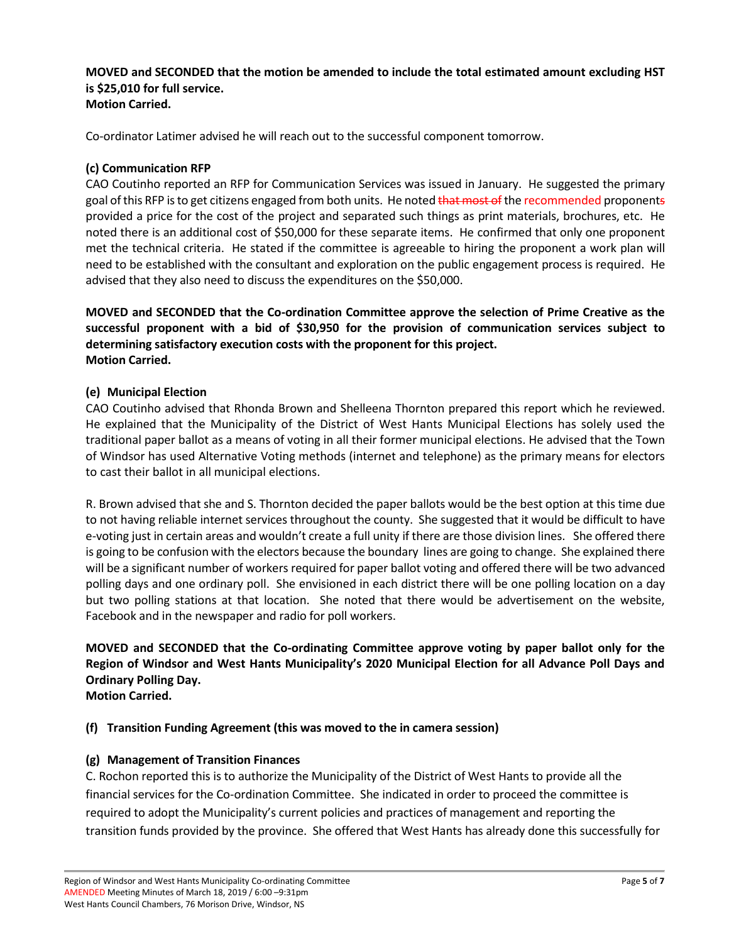**MOVED and SECONDED that the motion be amended to include the total estimated amount excluding HST is \$25,010 for full service. Motion Carried.** 

Co-ordinator Latimer advised he will reach out to the successful component tomorrow.

### **(c) Communication RFP**

CAO Coutinho reported an RFP for Communication Services was issued in January. He suggested the primary goal of this RFP is to get citizens engaged from both units. He noted that most of the recommended proponents provided a price for the cost of the project and separated such things as print materials, brochures, etc. He noted there is an additional cost of \$50,000 for these separate items. He confirmed that only one proponent met the technical criteria. He stated if the committee is agreeable to hiring the proponent a work plan will need to be established with the consultant and exploration on the public engagement process is required. He advised that they also need to discuss the expenditures on the \$50,000.

**MOVED and SECONDED that the Co-ordination Committee approve the selection of Prime Creative as the successful proponent with a bid of \$30,950 for the provision of communication services subject to determining satisfactory execution costs with the proponent for this project. Motion Carried.** 

### **(e) Municipal Election**

CAO Coutinho advised that Rhonda Brown and Shelleena Thornton prepared this report which he reviewed. He explained that the Municipality of the District of West Hants Municipal Elections has solely used the traditional paper ballot as a means of voting in all their former municipal elections. He advised that the Town of Windsor has used Alternative Voting methods (internet and telephone) as the primary means for electors to cast their ballot in all municipal elections.

R. Brown advised that she and S. Thornton decided the paper ballots would be the best option at this time due to not having reliable internet services throughout the county. She suggested that it would be difficult to have e-voting just in certain areas and wouldn't create a full unity if there are those division lines. She offered there is going to be confusion with the electors because the boundary lines are going to change. She explained there will be a significant number of workers required for paper ballot voting and offered there will be two advanced polling days and one ordinary poll. She envisioned in each district there will be one polling location on a day but two polling stations at that location. She noted that there would be advertisement on the website, Facebook and in the newspaper and radio for poll workers.

**MOVED and SECONDED that the Co-ordinating Committee approve voting by paper ballot only for the Region of Windsor and West Hants Municipality's 2020 Municipal Election for all Advance Poll Days and Ordinary Polling Day.**

**Motion Carried.** 

### **(f) Transition Funding Agreement (this was moved to the in camera session)**

### **(g) Management of Transition Finances**

C. Rochon reported this is to authorize the Municipality of the District of West Hants to provide all the financial services for the Co-ordination Committee. She indicated in order to proceed the committee is required to adopt the Municipality's current policies and practices of management and reporting the transition funds provided by the province. She offered that West Hants has already done this successfully for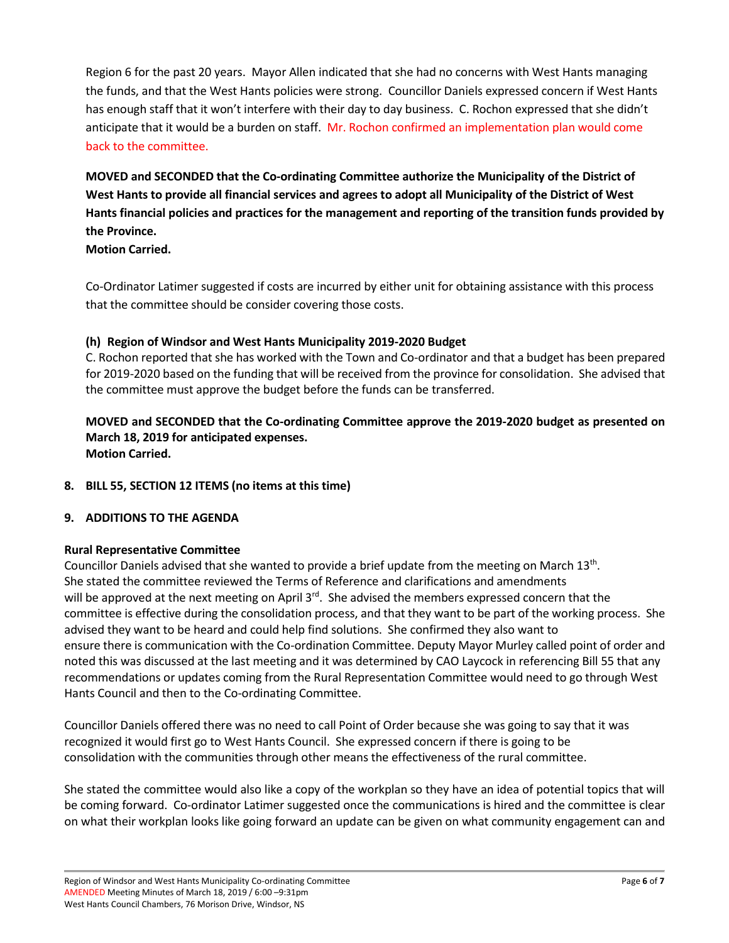Region 6 for the past 20 years. Mayor Allen indicated that she had no concerns with West Hants managing the funds, and that the West Hants policies were strong. Councillor Daniels expressed concern if West Hants has enough staff that it won't interfere with their day to day business. C. Rochon expressed that she didn't anticipate that it would be a burden on staff. Mr. Rochon confirmed an implementation plan would come back to the committee.

**MOVED and SECONDED that the Co-ordinating Committee authorize the Municipality of the District of West Hants to provide all financial services and agrees to adopt all Municipality of the District of West Hants financial policies and practices for the management and reporting of the transition funds provided by the Province.** 

**Motion Carried.** 

Co-Ordinator Latimer suggested if costs are incurred by either unit for obtaining assistance with this process that the committee should be consider covering those costs.

# **(h) Region of Windsor and West Hants Municipality 2019-2020 Budget**

C. Rochon reported that she has worked with the Town and Co-ordinator and that a budget has been prepared for 2019-2020 based on the funding that will be received from the province for consolidation. She advised that the committee must approve the budget before the funds can be transferred.

**MOVED and SECONDED that the Co-ordinating Committee approve the 2019-2020 budget as presented on March 18, 2019 for anticipated expenses. Motion Carried.** 

**8. BILL 55, SECTION 12 ITEMS (no items at this time)**

# **9. ADDITIONS TO THE AGENDA**

# **Rural Representative Committee**

Councillor Daniels advised that she wanted to provide a brief update from the meeting on March 13<sup>th</sup>. She stated the committee reviewed the Terms of Reference and clarifications and amendments will be approved at the next meeting on April  $3^{rd}$ . She advised the members expressed concern that the committee is effective during the consolidation process, and that they want to be part of the working process. She advised they want to be heard and could help find solutions. She confirmed they also want to ensure there is communication with the Co-ordination Committee. Deputy Mayor Murley called point of order and noted this was discussed at the last meeting and it was determined by CAO Laycock in referencing Bill 55 that any recommendations or updates coming from the Rural Representation Committee would need to go through West Hants Council and then to the Co-ordinating Committee.

Councillor Daniels offered there was no need to call Point of Order because she was going to say that it was recognized it would first go to West Hants Council. She expressed concern if there is going to be consolidation with the communities through other means the effectiveness of the rural committee.

She stated the committee would also like a copy of the workplan so they have an idea of potential topics that will be coming forward. Co-ordinator Latimer suggested once the communications is hired and the committee is clear on what their workplan looks like going forward an update can be given on what community engagement can and